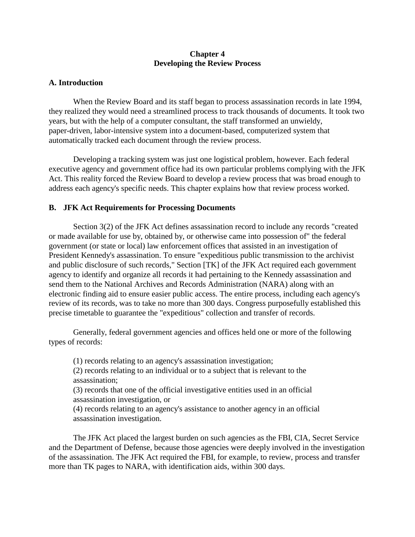# **Chapter 4 Developing the Review Process**

## **A. Introduction**

When the Review Board and its staff began to process assassination records in late 1994, they realized they would need a streamlined process to track thousands of documents. It took two years, but with the help of a computer consultant, the staff transformed an unwieldy, paper-driven, labor-intensive system into a document-based, computerized system that automatically tracked each document through the review process.

Developing a tracking system was just one logistical problem, however. Each federal executive agency and government office had its own particular problems complying with the JFK Act. This reality forced the Review Board to develop a review process that was broad enough to address each agency's specific needs. This chapter explains how that review process worked.

## **B. JFK Act Requirements for Processing Documents**

Section 3(2) of the JFK Act defines assassination record to include any records "created or made available for use by, obtained by, or otherwise came into possession of" the federal government (or state or local) law enforcement offices that assisted in an investigation of President Kennedy's assassination. To ensure "expeditious public transmission to the archivist and public disclosure of such records," Section [TK] of the JFK Act required each government agency to identify and organize all records it had pertaining to the Kennedy assassination and send them to the National Archives and Records Administration (NARA) along with an electronic finding aid to ensure easier public access. The entire process, including each agency's review of its records, was to take no more than 300 days. Congress purposefully established this precise timetable to guarantee the "expeditious" collection and transfer of records.

Generally, federal government agencies and offices held one or more of the following types of records:

(1) records relating to an agency's assassination investigation;

(2) records relating to an individual or to a subject that is relevant to the assassination;

(3) records that one of the official investigative entities used in an official assassination investigation, or

(4) records relating to an agency's assistance to another agency in an official assassination investigation.

The JFK Act placed the largest burden on such agencies as the FBI, CIA, Secret Service and the Department of Defense, because those agencies were deeply involved in the investigation of the assassination. The JFK Act required the FBI, for example, to review, process and transfer more than TK pages to NARA, with identification aids, within 300 days.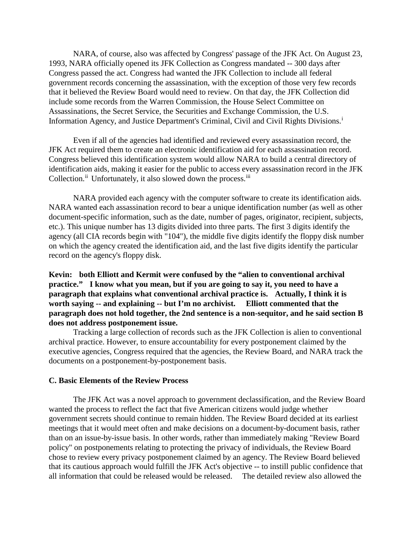NARA, of course, also was affected by Congress' passage of the JFK Act. On August 23, 1993, NARA officially opened its JFK Collection as Congress mandated -- 300 days after Congress passed the act. Congress had wanted the JFK Collection to include all federal government records concerning the assassination, with the exception of those very few records that it believed the Review Board would need to review. On that day, the JFK Collection did include some records from the Warren Commission, the House Select Committee on Assassinations, the Secret Service, the Securities and Exchange Commission, the U.S. Informat[i](#page-9-0)on Agency, and Justice Department's Criminal, Civil and Civil Rights Divisions.<sup>i</sup>

Even if all of the agencies had identified and reviewed every assassination record, the JFK Act required them to create an electronic identification aid for each assassination record. Congress believed this identification system would allow NARA to build a central directory of identification aids, making it easier for the public to access every assassination record in the JFK Collection.<sup>[ii](#page-9-1)</sup> Unfortunately, it also slowed down the process.<sup>[iii](#page-9-2)</sup>

NARA provided each agency with the computer software to create its identification aids. NARA wanted each assassination record to bear a unique identification number (as well as other document-specific information, such as the date, number of pages, originator, recipient, subjects, etc.). This unique number has 13 digits divided into three parts. The first 3 digits identify the agency (all CIA records begin with "104"), the middle five digits identify the floppy disk number on which the agency created the identification aid, and the last five digits identify the particular record on the agency's floppy disk.

**Kevin: both Elliott and Kermit were confused by the "alien to conventional archival practice." I know what you mean, but if you are going to say it, you need to have a paragraph that explains what conventional archival practice is. Actually, I think it is worth saying -- and explaining -- but I'm no archivist. Elliott commented that the paragraph does not hold together, the 2nd sentence is a non-sequitor, and he said section B does not address postponement issue.**

Tracking a large collection of records such as the JFK Collection is alien to conventional archival practice. However, to ensure accountability for every postponement claimed by the executive agencies, Congress required that the agencies, the Review Board, and NARA track the documents on a postponement-by-postponement basis.

#### **C. Basic Elements of the Review Process**

The JFK Act was a novel approach to government declassification, and the Review Board wanted the process to reflect the fact that five American citizens would judge whether government secrets should continue to remain hidden. The Review Board decided at its earliest meetings that it would meet often and make decisions on a document-by-document basis, rather than on an issue-by-issue basis. In other words, rather than immediately making "Review Board policy" on postponements relating to protecting the privacy of individuals, the Review Board chose to review every privacy postponement claimed by an agency. The Review Board believed that its cautious approach would fulfill the JFK Act's objective -- to instill public confidence that all information that could be released would be released. The detailed review also allowed the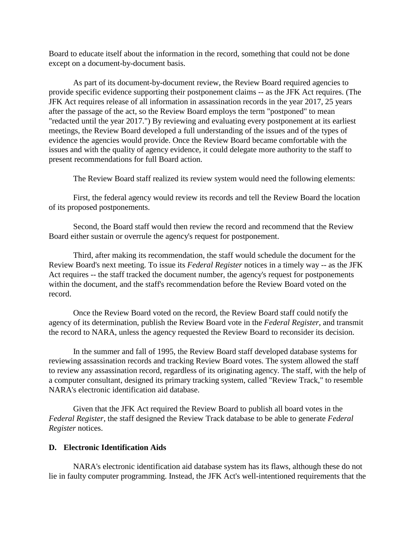Board to educate itself about the information in the record, something that could not be done except on a document-by-document basis.

As part of its document-by-document review, the Review Board required agencies to provide specific evidence supporting their postponement claims -- as the JFK Act requires. (The JFK Act requires release of all information in assassination records in the year 2017, 25 years after the passage of the act, so the Review Board employs the term "postponed" to mean "redacted until the year 2017.") By reviewing and evaluating every postponement at its earliest meetings, the Review Board developed a full understanding of the issues and of the types of evidence the agencies would provide. Once the Review Board became comfortable with the issues and with the quality of agency evidence, it could delegate more authority to the staff to present recommendations for full Board action.

The Review Board staff realized its review system would need the following elements:

First, the federal agency would review its records and tell the Review Board the location of its proposed postponements.

Second, the Board staff would then review the record and recommend that the Review Board either sustain or overrule the agency's request for postponement.

Third, after making its recommendation, the staff would schedule the document for the Review Board's next meeting. To issue its *Federal Register* notices in a timely way -- as the JFK Act requires -- the staff tracked the document number, the agency's request for postponements within the document, and the staff's recommendation before the Review Board voted on the record.

Once the Review Board voted on the record, the Review Board staff could notify the agency of its determination, publish the Review Board vote in the *Federal Register*, and transmit the record to NARA, unless the agency requested the Review Board to reconsider its decision.

In the summer and fall of 1995, the Review Board staff developed database systems for reviewing assassination records and tracking Review Board votes. The system allowed the staff to review any assassination record, regardless of its originating agency. The staff, with the help of a computer consultant, designed its primary tracking system, called "Review Track," to resemble NARA's electronic identification aid database.

Given that the JFK Act required the Review Board to publish all board votes in the *Federal Register*, the staff designed the Review Track database to be able to generate *Federal Register* notices.

### **D. Electronic Identification Aids**

NARA's electronic identification aid database system has its flaws, although these do not lie in faulty computer programming. Instead, the JFK Act's well-intentioned requirements that the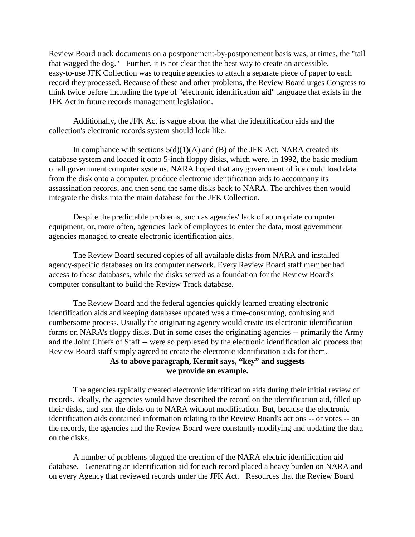Review Board track documents on a postponement-by-postponement basis was, at times, the "tail that wagged the dog." Further, it is not clear that the best way to create an accessible, easy-to-use JFK Collection was to require agencies to attach a separate piece of paper to each record they processed. Because of these and other problems, the Review Board urges Congress to think twice before including the type of "electronic identification aid" language that exists in the JFK Act in future records management legislation.

Additionally, the JFK Act is vague about the what the identification aids and the collection's electronic records system should look like.

In compliance with sections  $5(d)(1)(A)$  and (B) of the JFK Act, NARA created its database system and loaded it onto 5-inch floppy disks, which were, in 1992, the basic medium of all government computer systems. NARA hoped that any government office could load data from the disk onto a computer, produce electronic identification aids to accompany its assassination records, and then send the same disks back to NARA. The archives then would integrate the disks into the main database for the JFK Collection.

Despite the predictable problems, such as agencies' lack of appropriate computer equipment, or, more often, agencies' lack of employees to enter the data, most government agencies managed to create electronic identification aids.

The Review Board secured copies of all available disks from NARA and installed agency-specific databases on its computer network. Every Review Board staff member had access to these databases, while the disks served as a foundation for the Review Board's computer consultant to build the Review Track database.

The Review Board and the federal agencies quickly learned creating electronic identification aids and keeping databases updated was a time-consuming, confusing and cumbersome process. Usually the originating agency would create its electronic identification forms on NARA's floppy disks. But in some cases the originating agencies -- primarily the Army and the Joint Chiefs of Staff -- were so perplexed by the electronic identification aid process that Review Board staff simply agreed to create the electronic identification aids for them.

# **As to above paragraph, Kermit says, "key" and suggests we provide an example.**

The agencies typically created electronic identification aids during their initial review of records. Ideally, the agencies would have described the record on the identification aid, filled up their disks, and sent the disks on to NARA without modification. But, because the electronic identification aids contained information relating to the Review Board's actions -- or votes -- on the records, the agencies and the Review Board were constantly modifying and updating the data on the disks.

A number of problems plagued the creation of the NARA electric identification aid database. Generating an identification aid for each record placed a heavy burden on NARA and on every Agency that reviewed records under the JFK Act. Resources that the Review Board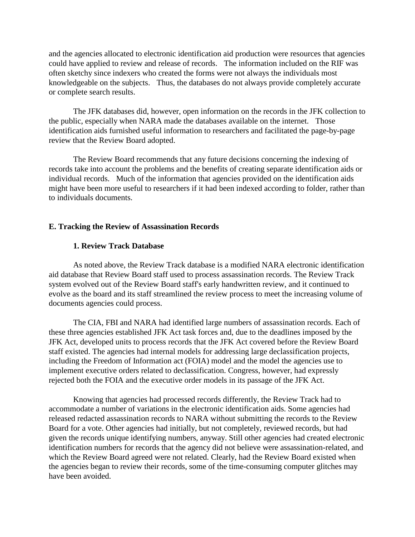and the agencies allocated to electronic identification aid production were resources that agencies could have applied to review and release of records. The information included on the RIF was often sketchy since indexers who created the forms were not always the individuals most knowledgeable on the subjects. Thus, the databases do not always provide completely accurate or complete search results.

The JFK databases did, however, open information on the records in the JFK collection to the public, especially when NARA made the databases available on the internet. Those identification aids furnished useful information to researchers and facilitated the page-by-page review that the Review Board adopted.

The Review Board recommends that any future decisions concerning the indexing of records take into account the problems and the benefits of creating separate identification aids or individual records. Much of the information that agencies provided on the identification aids might have been more useful to researchers if it had been indexed according to folder, rather than to individuals documents.

#### **E. Tracking the Review of Assassination Records**

#### **1. Review Track Database**

As noted above, the Review Track database is a modified NARA electronic identification aid database that Review Board staff used to process assassination records. The Review Track system evolved out of the Review Board staff's early handwritten review, and it continued to evolve as the board and its staff streamlined the review process to meet the increasing volume of documents agencies could process.

The CIA, FBI and NARA had identified large numbers of assassination records. Each of these three agencies established JFK Act task forces and, due to the deadlines imposed by the JFK Act, developed units to process records that the JFK Act covered before the Review Board staff existed. The agencies had internal models for addressing large declassification projects, including the Freedom of Information act (FOIA) model and the model the agencies use to implement executive orders related to declassification. Congress, however, had expressly rejected both the FOIA and the executive order models in its passage of the JFK Act.

Knowing that agencies had processed records differently, the Review Track had to accommodate a number of variations in the electronic identification aids. Some agencies had released redacted assassination records to NARA without submitting the records to the Review Board for a vote. Other agencies had initially, but not completely, reviewed records, but had given the records unique identifying numbers, anyway. Still other agencies had created electronic identification numbers for records that the agency did not believe were assassination-related, and which the Review Board agreed were not related. Clearly, had the Review Board existed when the agencies began to review their records, some of the time-consuming computer glitches may have been avoided.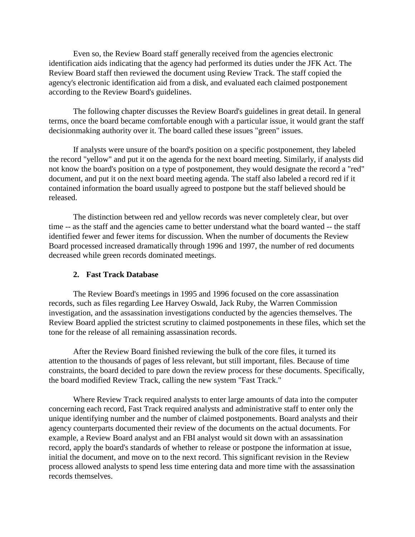Even so, the Review Board staff generally received from the agencies electronic identification aids indicating that the agency had performed its duties under the JFK Act. The Review Board staff then reviewed the document using Review Track. The staff copied the agency's electronic identification aid from a disk, and evaluated each claimed postponement according to the Review Board's guidelines.

The following chapter discusses the Review Board's guidelines in great detail. In general terms, once the board became comfortable enough with a particular issue, it would grant the staff decisionmaking authority over it. The board called these issues "green" issues.

If analysts were unsure of the board's position on a specific postponement, they labeled the record "yellow" and put it on the agenda for the next board meeting. Similarly, if analysts did not know the board's position on a type of postponement, they would designate the record a "red" document, and put it on the next board meeting agenda. The staff also labeled a record red if it contained information the board usually agreed to postpone but the staff believed should be released.

The distinction between red and yellow records was never completely clear, but over time -- as the staff and the agencies came to better understand what the board wanted -- the staff identified fewer and fewer items for discussion. When the number of documents the Review Board processed increased dramatically through 1996 and 1997, the number of red documents decreased while green records dominated meetings.

#### **2. Fast Track Database**

The Review Board's meetings in 1995 and 1996 focused on the core assassination records, such as files regarding Lee Harvey Oswald, Jack Ruby, the Warren Commission investigation, and the assassination investigations conducted by the agencies themselves. The Review Board applied the strictest scrutiny to claimed postponements in these files, which set the tone for the release of all remaining assassination records.

After the Review Board finished reviewing the bulk of the core files, it turned its attention to the thousands of pages of less relevant, but still important, files. Because of time constraints, the board decided to pare down the review process for these documents. Specifically, the board modified Review Track, calling the new system "Fast Track."

Where Review Track required analysts to enter large amounts of data into the computer concerning each record, Fast Track required analysts and administrative staff to enter only the unique identifying number and the number of claimed postponements. Board analysts and their agency counterparts documented their review of the documents on the actual documents. For example, a Review Board analyst and an FBI analyst would sit down with an assassination record, apply the board's standards of whether to release or postpone the information at issue, initial the document, and move on to the next record. This significant revision in the Review process allowed analysts to spend less time entering data and more time with the assassination records themselves.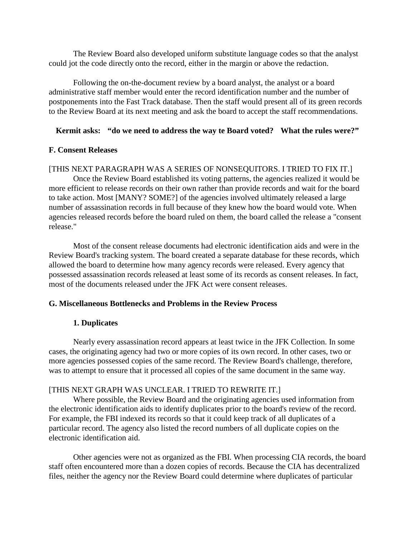The Review Board also developed uniform substitute language codes so that the analyst could jot the code directly onto the record, either in the margin or above the redaction.

Following the on-the-document review by a board analyst, the analyst or a board administrative staff member would enter the record identification number and the number of postponements into the Fast Track database. Then the staff would present all of its green records to the Review Board at its next meeting and ask the board to accept the staff recommendations.

## **Kermit asks: "do we need to address the way te Board voted? What the rules were?"**

### **F. Consent Releases**

### [THIS NEXT PARAGRAPH WAS A SERIES OF NONSEQUITORS. I TRIED TO FIX IT.]

Once the Review Board established its voting patterns, the agencies realized it would be more efficient to release records on their own rather than provide records and wait for the board to take action. Most [MANY? SOME?] of the agencies involved ultimately released a large number of assassination records in full because of they knew how the board would vote. When agencies released records before the board ruled on them, the board called the release a "consent release."

Most of the consent release documents had electronic identification aids and were in the Review Board's tracking system. The board created a separate database for these records, which allowed the board to determine how many agency records were released. Every agency that possessed assassination records released at least some of its records as consent releases. In fact, most of the documents released under the JFK Act were consent releases.

### **G. Miscellaneous Bottlenecks and Problems in the Review Process**

## **1. Duplicates**

Nearly every assassination record appears at least twice in the JFK Collection. In some cases, the originating agency had two or more copies of its own record. In other cases, two or more agencies possessed copies of the same record. The Review Board's challenge, therefore, was to attempt to ensure that it processed all copies of the same document in the same way.

#### [THIS NEXT GRAPH WAS UNCLEAR. I TRIED TO REWRITE IT.]

Where possible, the Review Board and the originating agencies used information from the electronic identification aids to identify duplicates prior to the board's review of the record. For example, the FBI indexed its records so that it could keep track of all duplicates of a particular record. The agency also listed the record numbers of all duplicate copies on the electronic identification aid.

Other agencies were not as organized as the FBI. When processing CIA records, the board staff often encountered more than a dozen copies of records. Because the CIA has decentralized files, neither the agency nor the Review Board could determine where duplicates of particular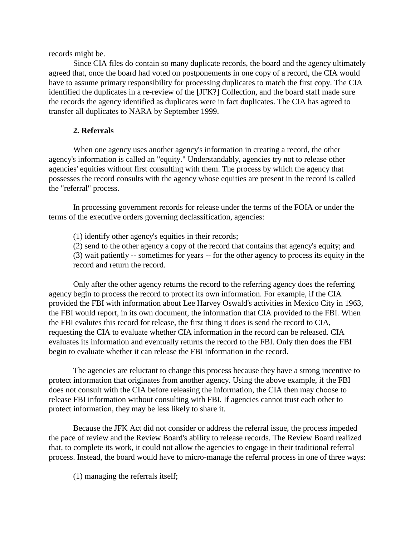records might be.

Since CIA files do contain so many duplicate records, the board and the agency ultimately agreed that, once the board had voted on postponements in one copy of a record, the CIA would have to assume primary responsibility for processing duplicates to match the first copy. The CIA identified the duplicates in a re-review of the [JFK?] Collection, and the board staff made sure the records the agency identified as duplicates were in fact duplicates. The CIA has agreed to transfer all duplicates to NARA by September 1999.

# **2. Referrals**

When one agency uses another agency's information in creating a record, the other agency's information is called an "equity." Understandably, agencies try not to release other agencies' equities without first consulting with them. The process by which the agency that possesses the record consults with the agency whose equities are present in the record is called the "referral" process.

In processing government records for release under the terms of the FOIA or under the terms of the executive orders governing declassification, agencies:

(1) identify other agency's equities in their records;

(2) send to the other agency a copy of the record that contains that agency's equity; and (3) wait patiently -- sometimes for years -- for the other agency to process its equity in the record and return the record.

Only after the other agency returns the record to the referring agency does the referring agency begin to process the record to protect its own information. For example, if the CIA provided the FBI with information about Lee Harvey Oswald's activities in Mexico City in 1963, the FBI would report, in its own document, the information that CIA provided to the FBI. When the FBI evalutes this record for release, the first thing it does is send the record to CIA, requesting the CIA to evaluate whether CIA information in the record can be released. CIA evaluates its information and eventually returns the record to the FBI. Only then does the FBI begin to evaluate whether it can release the FBI information in the record.

The agencies are reluctant to change this process because they have a strong incentive to protect information that originates from another agency. Using the above example, if the FBI does not consult with the CIA before releasing the information, the CIA then may choose to release FBI information without consulting with FBI. If agencies cannot trust each other to protect information, they may be less likely to share it.

Because the JFK Act did not consider or address the referral issue, the process impeded the pace of review and the Review Board's ability to release records. The Review Board realized that, to complete its work, it could not allow the agencies to engage in their traditional referral process. Instead, the board would have to micro-manage the referral process in one of three ways:

(1) managing the referrals itself;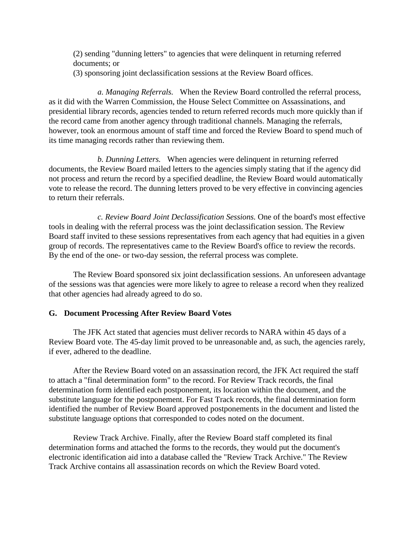(2) sending "dunning letters" to agencies that were delinquent in returning referred documents; or (3) sponsoring joint declassification sessions at the Review Board offices.

*a. Managing Referrals.* When the Review Board controlled the referral process, as it did with the Warren Commission, the House Select Committee on Assassinations, and presidential library records, agencies tended to return referred records much more quickly than if the record came from another agency through traditional channels. Managing the referrals, however, took an enormous amount of staff time and forced the Review Board to spend much of its time managing records rather than reviewing them.

*b. Dunning Letters.* When agencies were delinquent in returning referred documents, the Review Board mailed letters to the agencies simply stating that if the agency did not process and return the record by a specified deadline, the Review Board would automatically vote to release the record. The dunning letters proved to be very effective in convincing agencies to return their referrals.

*c. Review Board Joint Declassification Sessions.* One of the board's most effective tools in dealing with the referral process was the joint declassification session. The Review Board staff invited to these sessions representatives from each agency that had equities in a given group of records. The representatives came to the Review Board's office to review the records. By the end of the one- or two-day session, the referral process was complete.

The Review Board sponsored six joint declassification sessions. An unforeseen advantage of the sessions was that agencies were more likely to agree to release a record when they realized that other agencies had already agreed to do so.

#### **G. Document Processing After Review Board Votes**

The JFK Act stated that agencies must deliver records to NARA within 45 days of a Review Board vote. The 45-day limit proved to be unreasonable and, as such, the agencies rarely, if ever, adhered to the deadline.

After the Review Board voted on an assassination record, the JFK Act required the staff to attach a "final determination form" to the record. For Review Track records, the final determination form identified each postponement, its location within the document, and the substitute language for the postponement. For Fast Track records, the final determination form identified the number of Review Board approved postponements in the document and listed the substitute language options that corresponded to codes noted on the document.

Review Track Archive. Finally, after the Review Board staff completed its final determination forms and attached the forms to the records, they would put the document's electronic identification aid into a database called the "Review Track Archive." The Review Track Archive contains all assassination records on which the Review Board voted.